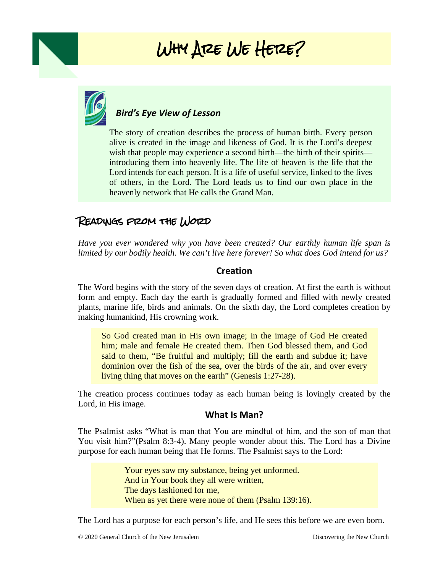# Why Are We Here?



## *Bird's Eye View of Lesson*

 $\overline{\phantom{a}}$ The story of creation describes the process of human birth. Every person alive is created in the image and likeness of God. It is the Lord's deepest wish that people may experience a second birth—the birth of their spirits introducing them into heavenly life. The life of heaven is the life that the Lord intends for each person. It is a life of useful service, linked to the lives of others, in the Lord. The Lord leads us to find our own place in the heavenly network that He calls the Grand Man.

## Readings from the Word

*Have you ever wondered why you have been created? Our earthly human life span is limited by our bodily health. We can't live here forever! So what does God intend for us?*

#### **Creation**

The Word begins with the story of the seven days of creation. At first the earth is without form and empty. Each day the earth is gradually formed and filled with newly created plants, marine life, birds and animals. On the sixth day, the Lord completes creation by making humankind, His crowning work.

So God created man in His own image; in the image of God He created him; male and female He created them. Then God blessed them, and God said to them, "Be fruitful and multiply; fill the earth and subdue it; have dominion over the fish of the sea, over the birds of the air, and over every living thing that moves on the earth" (Genesis 1:27-28).

The creation process continues today as each human being is lovingly created by the Lord, in His image.

#### **What Is Man?**

The Psalmist asks "What is man that You are mindful of him, and the son of man that You visit him?"(Psalm 8:3-4). Many people wonder about this. The Lord has a Divine purpose for each human being that He forms. The Psalmist says to the Lord:

> Your eyes saw my substance, being yet unformed. And in Your book they all were written, The days fashioned for me, When as yet there were none of them (Psalm 139:16).

The Lord has a purpose for each person's life, and He sees this before we are even born.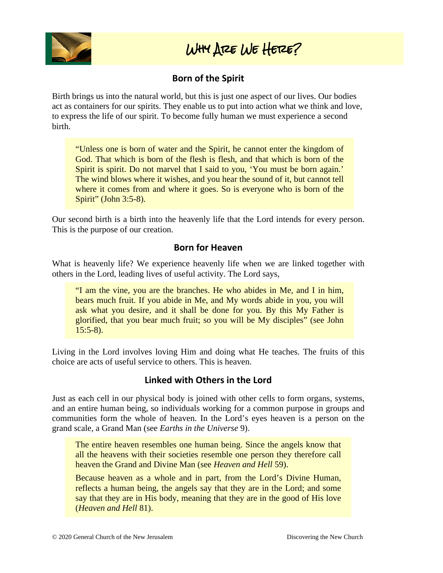

## Why Are We Here?

## **Born of the Spirit**

Birth brings us into the natural world, but this is just one aspect of our lives. Our bodies act as containers for our spirits. They enable us to put into action what we think and love, to express the life of our spirit. To become fully human we must experience a second birth.

"Unless one is born of water and the Spirit, he cannot enter the kingdom of God. That which is born of the flesh is flesh, and that which is born of the Spirit is spirit. Do not marvel that I said to you, 'You must be born again.' The wind blows where it wishes, and you hear the sound of it, but cannot tell where it comes from and where it goes. So is everyone who is born of the Spirit" (John 3:5-8).

Our second birth is a birth into the heavenly life that the Lord intends for every person. This is the purpose of our creation.

#### **Born for Heaven**

What is heavenly life? We experience heavenly life when we are linked together with others in the Lord, leading lives of useful activity. The Lord says,

"I am the vine, you are the branches. He who abides in Me, and I in him, bears much fruit. If you abide in Me, and My words abide in you, you will ask what you desire, and it shall be done for you. By this My Father is glorified, that you bear much fruit; so you will be My disciples" (see John  $15:5-8$ ).

Living in the Lord involves loving Him and doing what He teaches. The fruits of this choice are acts of useful service to others. This is heaven.

### **Linked with Others in the Lord**

Just as each cell in our physical body is joined with other cells to form organs, systems, and an entire human being, so individuals working for a common purpose in groups and communities form the whole of heaven. In the Lord's eyes heaven is a person on the grand scale, a Grand Man (see *Earths in the Universe* 9).

The entire heaven resembles one human being. Since the angels know that all the heavens with their societies resemble one person they therefore call heaven the Grand and Divine Man (see *Heaven and Hell* 59).

Because heaven as a whole and in part, from the Lord's Divine Human, reflects a human being, the angels say that they are in the Lord; and some say that they are in His body, meaning that they are in the good of His love (*Heaven and Hell* 81).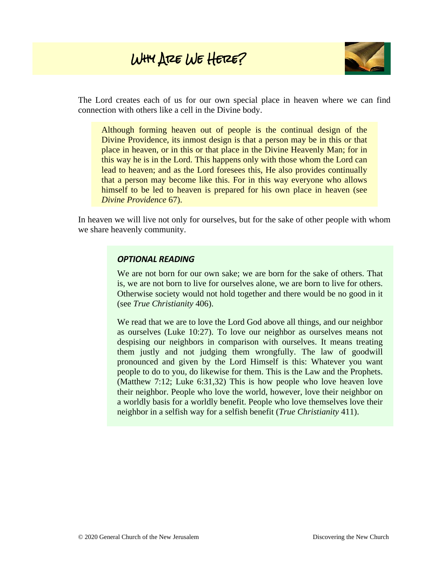## Why Are We Here?



The Lord creates each of us for our own special place in heaven where we can find connection with others like a cell in the Divine body.

Although forming heaven out of people is the continual design of the Divine Providence, its inmost design is that a person may be in this or that place in heaven, or in this or that place in the Divine Heavenly Man; for in this way he is in the Lord. This happens only with those whom the Lord can lead to heaven; and as the Lord foresees this, He also provides continually that a person may become like this. For in this way everyone who allows himself to be led to heaven is prepared for his own place in heaven (see *Divine Providence* 67).

In heaven we will live not only for ourselves, but for the sake of other people with whom we share heavenly community.

#### *OPTIONAL READING*

We are not born for our own sake; we are born for the sake of others. That is, we are not born to live for ourselves alone, we are born to live for others. Otherwise society would not hold together and there would be no good in it (see *True Christianity* 406).

We read that we are to love the Lord God above all things, and our neighbor as ourselves (Luke 10:27). To love our neighbor as ourselves means not despising our neighbors in comparison with ourselves. It means treating them justly and not judging them wrongfully. The law of goodwill pronounced and given by the Lord Himself is this: Whatever you want people to do to you, do likewise for them. This is the Law and the Prophets. (Matthew 7:12; Luke 6:31,32) This is how people who love heaven love their neighbor. People who love the world, however, love their neighbor on a worldly basis for a worldly benefit. People who love themselves love their neighbor in a selfish way for a selfish benefit (*True Christianity* 411).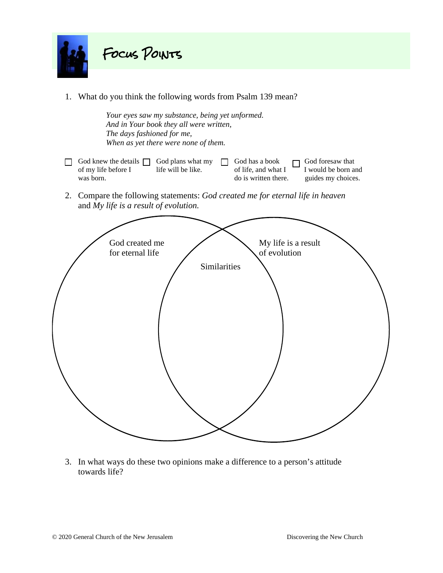

1. What do you think the following words from Psalm 139 mean?

*Your eyes saw my substance, being yet unformed. And in Your book they all were written, The days fashioned for me, When as yet there were none of them.*

God knew the details God plans what my God has a book  $\Box$  God foresaw that of my life before I life will be like.  $\overline{\phantom{a}}$  of life, and what I I would be born and was born.  $\Box$  do is written there. guides my choices.

2. Compare the following statements: *God created me for eternal life in heaven* and *My life is a result of evolution.*



3. In what ways do these two opinions make a difference to a person's attitude towards life?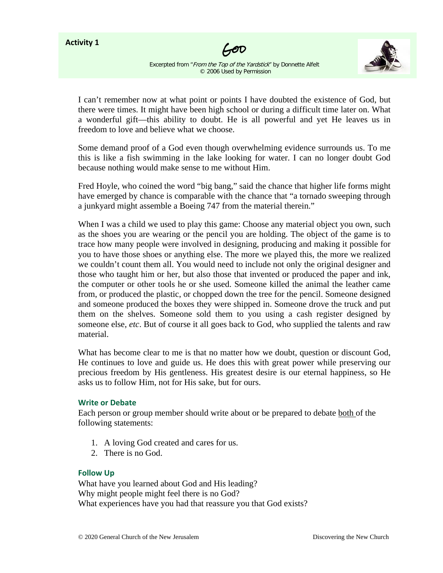#### **Activity 1**





Excerpted from "From the Top of the Yardstick" by Donnette Alfelt © 2006 Used by Permission

I can't remember now at what point or points I have doubted the existence of God, but there were times. It might have been high school or during a difficult time later on. What a wonderful gift—this ability to doubt. He is all powerful and yet He leaves us in freedom to love and believe what we choose.

Some demand proof of a God even though overwhelming evidence surrounds us. To me this is like a fish swimming in the lake looking for water. I can no longer doubt God because nothing would make sense to me without Him.

Fred Hoyle, who coined the word "big bang," said the chance that higher life forms might have emerged by chance is comparable with the chance that "a tornado sweeping through a junkyard might assemble a Boeing 747 from the material therein."

When I was a child we used to play this game: Choose any material object you own, such as the shoes you are wearing or the pencil you are holding. The object of the game is to trace how many people were involved in designing, producing and making it possible for you to have those shoes or anything else. The more we played this, the more we realized we couldn't count them all. You would need to include not only the original designer and those who taught him or her, but also those that invented or produced the paper and ink, the computer or other tools he or she used. Someone killed the animal the leather came from, or produced the plastic, or chopped down the tree for the pencil. Someone designed and someone produced the boxes they were shipped in. Someone drove the truck and put them on the shelves. Someone sold them to you using a cash register designed by someone else, *etc*. But of course it all goes back to God, who supplied the talents and raw material.

What has become clear to me is that no matter how we doubt, question or discount God, He continues to love and guide us. He does this with great power while preserving our precious freedom by His gentleness. His greatest desire is our eternal happiness, so He asks us to follow Him, not for His sake, but for ours.

#### **Write or Debate**

Each person or group member should write about or be prepared to debate both of the following statements:

- 1. A loving God created and cares for us.
- 2. There is no God.

#### **Follow Up**

What have you learned about God and His leading? Why might people might feel there is no God? What experiences have you had that reassure you that God exists?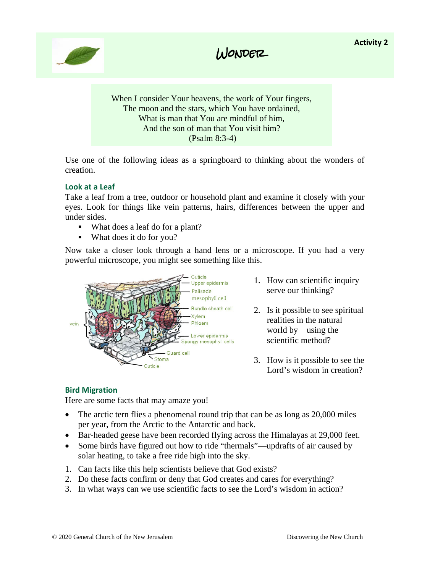





When I consider Your heavens, the work of Your fingers, The moon and the stars, which You have ordained, What is man that You are mindful of him, And the son of man that You visit him? (Psalm 8:3-4)

Use one of the following ideas as a springboard to thinking about the wonders of creation.

#### **Look at a Leaf**

Take a leaf from a tree, outdoor or household plant and examine it closely with your eyes. Look for things like vein patterns, hairs, differences between the upper and under sides.

- What does a leaf do for a plant?
- What does it do for you?

Now take a closer look through a hand lens or a microscope. If you had a very powerful microscope, you might see something like this.



- 1. How can scientific inquiry serve our thinking?
- 2. Is it possible to see spiritual realities in the natural world by using the scientific method?
- 3. How is it possible to see the Lord's wisdom in creation?

#### **Bird Migration**

Here are some facts that may amaze you!

- The arctic tern flies a phenomenal round trip that can be as long as 20,000 miles per year, from the Arctic to the Antarctic and back.
- Bar-headed geese have been recorded flying across the Himalayas at 29,000 feet.
- Some birds have figured out how to ride "thermals"—updrafts of air caused by solar heating, to take a free ride high into the sky.
- 1. Can facts like this help scientists believe that God exists?
- 2. Do these facts confirm or deny that God creates and cares for everything?
- 3. In what ways can we use scientific facts to see the Lord's wisdom in action?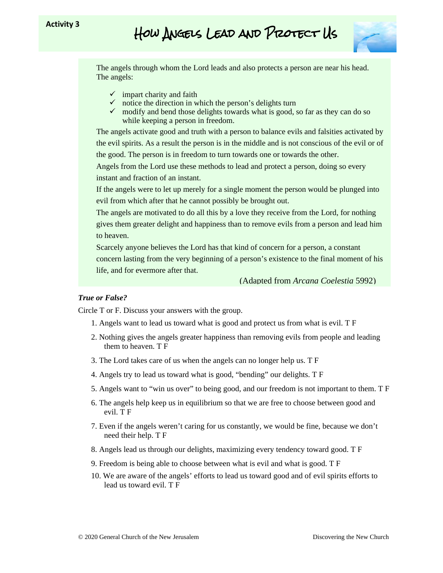

The angels through whom the Lord leads and also protects a person are near his head. The angels:

- $\checkmark$  impart charity and faith
- $\checkmark$  notice the direction in which the person's delights turn
- $\checkmark$  modify and bend those delights towards what is good, so far as they can do so while keeping a person in freedom.

The angels activate good and truth with a person to balance evils and falsities activated by the evil spirits. As a result the person is in the middle and is not conscious of the evil or of the good. The person is in freedom to turn towards one or towards the other.

Angels from the Lord use these methods to lead and protect a person, doing so every instant and fraction of an instant.

If the angels were to let up merely for a single moment the person would be plunged into evil from which after that he cannot possibly be brought out.

The angels are motivated to do all this by a love they receive from the Lord, for nothing gives them greater delight and happiness than to remove evils from a person and lead him to heaven.

Scarcely anyone believes the Lord has that kind of concern for a person, a constant concern lasting from the very beginning of a person's existence to the final moment of his life, and for evermore after that.

(Adapted from *Arcana Coelestia* 5992)

#### *True or False?*

Circle T or F. Discuss your answers with the group.

- 1. Angels want to lead us toward what is good and protect us from what is evil. T F
- 2. Nothing gives the angels greater happiness than removing evils from people and leading them to heaven. T F
- 3. The Lord takes care of us when the angels can no longer help us. T F
- 4. Angels try to lead us toward what is good, "bending" our delights. T F
- 5. Angels want to "win us over" to being good, and our freedom is not important to them. T F
- 6. The angels help keep us in equilibrium so that we are free to choose between good and evil. T F
- 7. Even if the angels weren't caring for us constantly, we would be fine, because we don't need their help. T F
- 8. Angels lead us through our delights, maximizing every tendency toward good. T F
- 9. Freedom is being able to choose between what is evil and what is good. T F
- 10. We are aware of the angels' efforts to lead us toward good and of evil spirits efforts to lead us toward evil. T F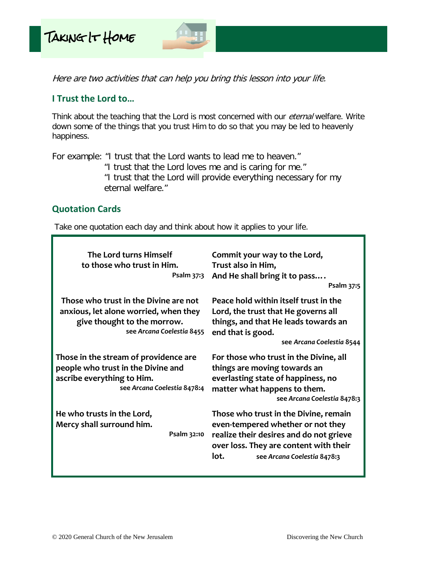

Here are two activities that can help you bring this lesson into your life.

### **I Trust the Lord to…**

Think about the teaching that the Lord is most concerned with our *eternal* welfare. Write down some of the things that you trust Him to do so that you may be led to heavenly happiness.

For example: "I trust that the Lord wants to lead me to heaven." "I trust that the Lord loves me and is caring for me." "I trust that the Lord will provide everything necessary for my eternal welfare."

### **Quotation Cards**

Take one quotation each day and think about how it applies to your life.

| The Lord turns Himself<br>to those who trust in Him.<br>Psalm 37:3                                                                         | Commit your way to the Lord,<br>Trust also in Him,<br>And He shall bring it to pass<br>Psalm 37:5                                                                                                      |
|--------------------------------------------------------------------------------------------------------------------------------------------|--------------------------------------------------------------------------------------------------------------------------------------------------------------------------------------------------------|
| Those who trust in the Divine are not<br>anxious, let alone worried, when they<br>give thought to the morrow.<br>see Arcana Coelestia 8455 | Peace hold within itself trust in the<br>Lord, the trust that He governs all<br>things, and that He leads towards an<br>end that is good.<br>see Arcana Coelestia 8544                                 |
| Those in the stream of providence are<br>people who trust in the Divine and<br>ascribe everything to Him.<br>see Arcana Coelestia 8478:4   | For those who trust in the Divine, all<br>things are moving towards an<br>everlasting state of happiness, no<br>matter what happens to them.<br>see Arcana Coelestia 8478:3                            |
| He who trusts in the Lord,<br>Mercy shall surround him.<br>Psalm 32:10                                                                     | Those who trust in the Divine, remain<br>even-tempered whether or not they<br>realize their desires and do not grieve<br>over loss. They are content with their<br>lot.<br>see Arcana Coelestia 8478:3 |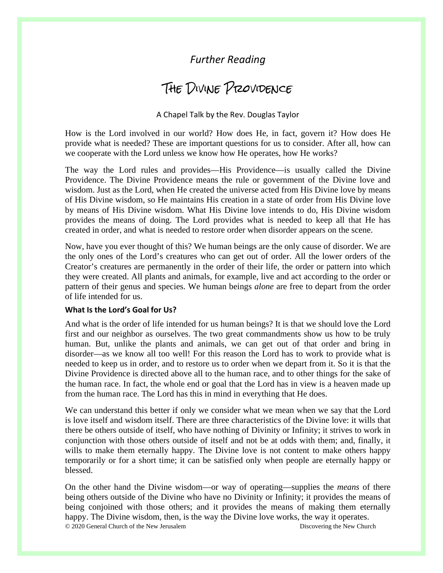## *Further Reading*

## The Divine Providence

#### A Chapel Talk by the Rev. Douglas Taylor

How is the Lord involved in our world? How does He, in fact, govern it? How does He provide what is needed? These are important questions for us to consider. After all, how can we cooperate with the Lord unless we know how He operates, how He works?

The way the Lord rules and provides—His Providence—is usually called the Divine Providence. The Divine Providence means the rule or government of the Divine love and wisdom. Just as the Lord, when He created the universe acted from His Divine love by means of His Divine wisdom, so He maintains His creation in a state of order from His Divine love by means of His Divine wisdom. What His Divine love intends to do, His Divine wisdom provides the means of doing. The Lord provides what is needed to keep all that He has created in order, and what is needed to restore order when disorder appears on the scene.

Now, have you ever thought of this? We human beings are the only cause of disorder. We are the only ones of the Lord's creatures who can get out of order. All the lower orders of the Creator's creatures are permanently in the order of their life, the order or pattern into which they were created. All plants and animals, for example, live and act according to the order or pattern of their genus and species. We human beings *alone* are free to depart from the order of life intended for us.

#### **What Is the Lord's Goal for Us?**

And what is the order of life intended for us human beings? It is that we should love the Lord first and our neighbor as ourselves. The two great commandments show us how to be truly human. But, unlike the plants and animals, we can get out of that order and bring in disorder—as we know all too well! For this reason the Lord has to work to provide what is needed to keep us in order, and to restore us to order when we depart from it. So it is that the Divine Providence is directed above all to the human race, and to other things for the sake of the human race. In fact, the whole end or goal that the Lord has in view is a heaven made up from the human race. The Lord has this in mind in everything that He does.

We can understand this better if only we consider what we mean when we say that the Lord is love itself and wisdom itself. There are three characteristics of the Divine love: it wills that there be others outside of itself, who have nothing of Divinity or Infinity; it strives to work in conjunction with those others outside of itself and not be at odds with them; and, finally, it wills to make them eternally happy. The Divine love is not content to make others happy temporarily or for a short time; it can be satisfied only when people are eternally happy or blessed.

© 2020 General Church of the New Jerusalem Discovering the New Church On the other hand the Divine wisdom—or way of operating—supplies the *means* of there being others outside of the Divine who have no Divinity or Infinity; it provides the means of being conjoined with those others; and it provides the means of making them eternally happy. The Divine wisdom, then, is the way the Divine love works, the way it operates.